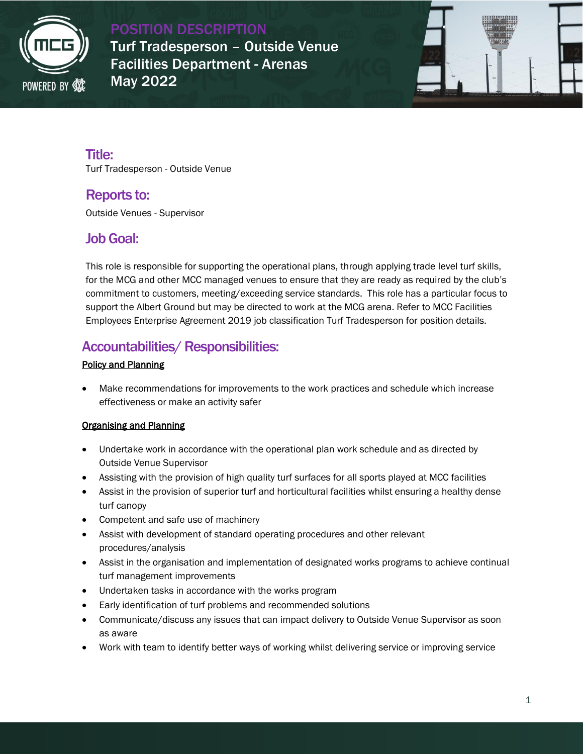

POSITION DESCRIPTION Turf Tradesperson – Outside Venue Facilities Department - Arenas May 2022



# Title:

Turf Tradesperson - Outside Venue

### Reports to:

Outside Venues - Supervisor

### Job Goal:

This role is responsible for supporting the operational plans, through applying trade level turf skills, for the MCG and other MCC managed venues to ensure that they are ready as required by the club's commitment to customers, meeting/exceeding service standards. This role has a particular focus to support the Albert Ground but may be directed to work at the MCG arena. Refer to MCC Facilities Employees Enterprise Agreement 2019 job classification Turf Tradesperson for position details.

## Accountabilities/ Responsibilities:

### Policy and Planning

 Make recommendations for improvements to the work practices and schedule which increase effectiveness or make an activity safer

### Organising and Planning

- Undertake work in accordance with the operational plan work schedule and as directed by Outside Venue Supervisor
- Assisting with the provision of high quality turf surfaces for all sports played at MCC facilities
- Assist in the provision of superior turf and horticultural facilities whilst ensuring a healthy dense turf canopy
- Competent and safe use of machinery
- Assist with development of standard operating procedures and other relevant procedures/analysis
- Assist in the organisation and implementation of designated works programs to achieve continual turf management improvements
- Undertaken tasks in accordance with the works program
- Early identification of turf problems and recommended solutions
- Communicate/discuss any issues that can impact delivery to Outside Venue Supervisor as soon as aware
- Work with team to identify better ways of working whilst delivering service or improving service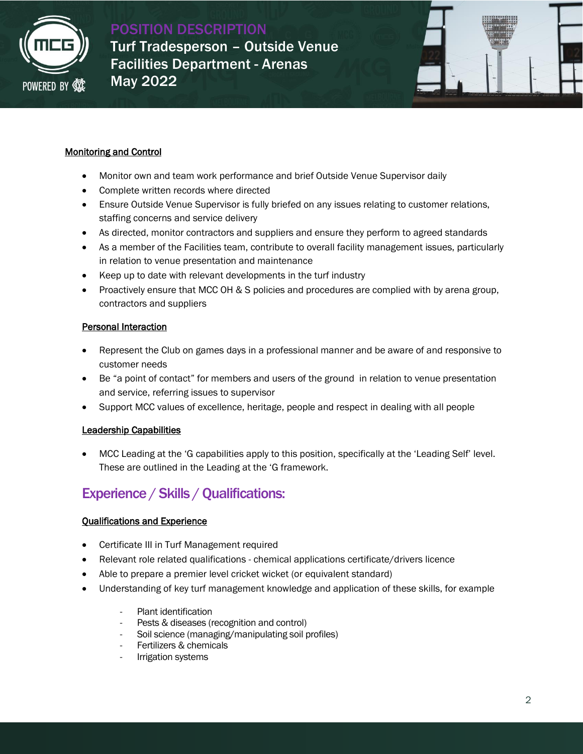

POSITION DESCRIPTION Turf Tradesperson – Outside Venue Facilities Department - Arenas May 2022



#### Monitoring and Control

- Monitor own and team work performance and brief Outside Venue Supervisor daily
- Complete written records where directed
- Ensure Outside Venue Supervisor is fully briefed on any issues relating to customer relations, staffing concerns and service delivery
- As directed, monitor contractors and suppliers and ensure they perform to agreed standards
- As a member of the Facilities team, contribute to overall facility management issues, particularly in relation to venue presentation and maintenance
- Keep up to date with relevant developments in the turf industry
- Proactively ensure that MCC OH & S policies and procedures are complied with by arena group, contractors and suppliers

#### Personal Interaction

- Represent the Club on games days in a professional manner and be aware of and responsive to customer needs
- Be "a point of contact" for members and users of the ground in relation to venue presentation and service, referring issues to supervisor
- Support MCC values of excellence, heritage, people and respect in dealing with all people

#### Leadership Capabilities

 MCC Leading at the 'G capabilities apply to this position, specifically at the 'Leading Self' level. These are outlined in the Leading at the 'G framework.

# Experience / Skills / Qualifications:

#### Qualifications and Experience

- Certificate III in Turf Management required
- Relevant role related qualifications chemical applications certificate/drivers licence
- Able to prepare a premier level cricket wicket (or equivalent standard)
- Understanding of key turf management knowledge and application of these skills, for example
	- Plant identification
	- Pests & diseases (recognition and control)
	- Soil science (managing/manipulating soil profiles)
	- Fertilizers & chemicals
	- Irrigation systems